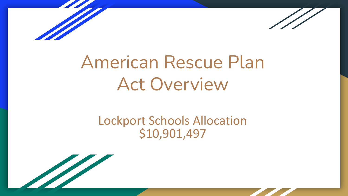



# American Rescue Plan Act Overview

# Lockport Schools Allocation \$10,901,497

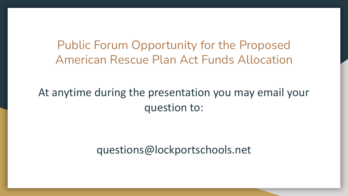Public Forum Opportunity for the Proposed American Rescue Plan Act Funds Allocation

At anytime during the presentation you may email your question to:

questions@lockportschools.net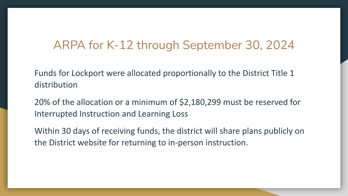# ARPA for K-12 through September 30, 2024

Funds for Lockport were allocated proportionally to the District Title 1 distribution

20% of the allocation or a minimum of \$2,180,299 must be reserved for Interrupted Instruction and Learning Loss

Within 30 days of receiving funds, the district will share plans publicly on the District website for returning to in-person instruction.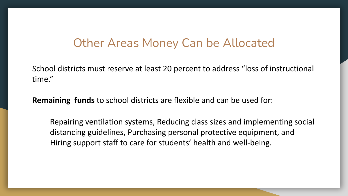# Other Areas Money Can be Allocated

School districts must reserve at least 20 percent to address "loss of instructional time."

**Remaining funds** to school districts are flexible and can be used for:

Repairing ventilation systems, Reducing class sizes and implementing social distancing guidelines, Purchasing personal protective equipment, and Hiring support staff to care for students' health and well-being.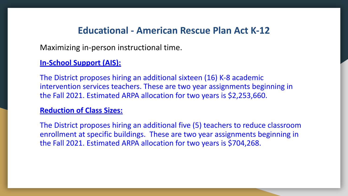Maximizing in-person instructional time.

#### **In-School Support (AIS):**

The District proposes hiring an additional sixteen (16) K-8 academic intervention services teachers. These are two year assignments beginning in the Fall 2021. Estimated ARPA allocation for two years is \$2,253,660.

#### **Reduction of Class Sizes:**

The District proposes hiring an additional five (5) teachers to reduce classroom enrollment at specific buildings. These are two year assignments beginning in the Fall 2021. Estimated ARPA allocation for two years is \$704,268.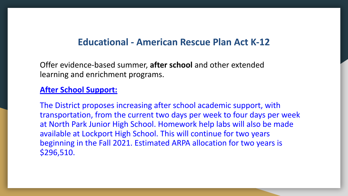Offer evidence-based summer, **after school** and other extended learning and enrichment programs.

#### **After School Support:**

The District proposes increasing after school academic support, with transportation, from the current two days per week to four days per week at North Park Junior High School. Homework help labs will also be made available at Lockport High School. This will continue for two years beginning in the Fall 2021. Estimated ARPA allocation for two years is \$296,510.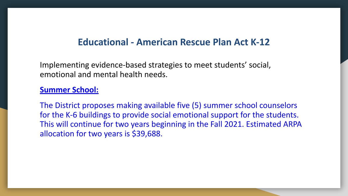Implementing evidence-based strategies to meet students' social, emotional and mental health needs.

#### **Summer School:**

The District proposes making available five (5) summer school counselors for the K-6 buildings to provide social emotional support for the students. This will continue for two years beginning in the Fall 2021. Estimated ARPA allocation for two years is \$39,688.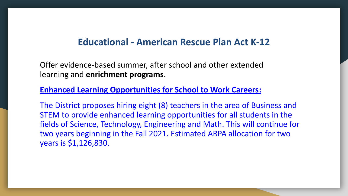Offer evidence-based summer, after school and other extended learning and **enrichment programs**.

#### **Enhanced Learning Opportunities for School to Work Careers:**

The District proposes hiring eight (8) teachers in the area of Business and STEM to provide enhanced learning opportunities for all students in the fields of Science, Technology, Engineering and Math. This will continue for two years beginning in the Fall 2021. Estimated ARPA allocation for two years is \$1,126,830.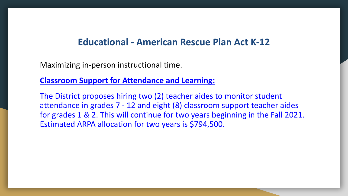Maximizing in-person instructional time.

#### **Classroom Support for Attendance and Learning:**

The District proposes hiring two (2) teacher aides to monitor student attendance in grades 7 - 12 and eight (8) classroom support teacher aides for grades 1 & 2. This will continue for two years beginning in the Fall 2021. Estimated ARPA allocation for two years is \$794,500.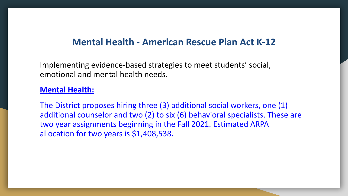# **Mental Health - American Rescue Plan Act K-12**

Implementing evidence-based strategies to meet students' social, emotional and mental health needs.

#### **Mental Health:**

The District proposes hiring three (3) additional social workers, one (1) additional counselor and two (2) to six (6) behavioral specialists. These are two year assignments beginning in the Fall 2021. Estimated ARPA allocation for two years is \$1,408,538.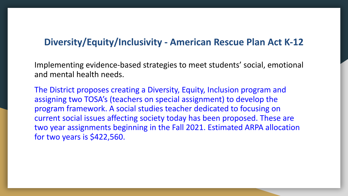# **Diversity/Equity/Inclusivity - American Rescue Plan Act K-12**

Implementing evidence-based strategies to meet students' social, emotional and mental health needs.

The District proposes creating a Diversity, Equity, Inclusion program and assigning two TOSA's (teachers on special assignment) to develop the program framework. A social studies teacher dedicated to focusing on current social issues affecting society today has been proposed. These are two year assignments beginning in the Fall 2021. Estimated ARPA allocation for two years is \$422,560.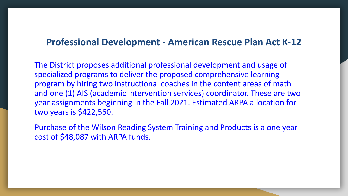## **Professional Development - American Rescue Plan Act K-12**

The District proposes additional professional development and usage of specialized programs to deliver the proposed comprehensive learning program by hiring two instructional coaches in the content areas of math and one (1) AIS (academic intervention services) coordinator. These are two year assignments beginning in the Fall 2021. Estimated ARPA allocation for two years is \$422,560.

Purchase of the Wilson Reading System Training and Products is a one year cost of \$48,087 with ARPA funds.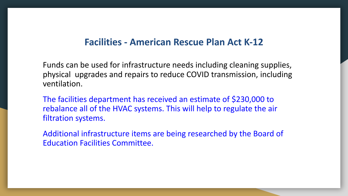### **Facilities - American Rescue Plan Act K-12**

Funds can be used for infrastructure needs including cleaning supplies, physical upgrades and repairs to reduce COVID transmission, including ventilation.

The facilities department has received an estimate of \$230,000 to rebalance all of the HVAC systems. This will help to regulate the air filtration systems.

Additional infrastructure items are being researched by the Board of Education Facilities Committee.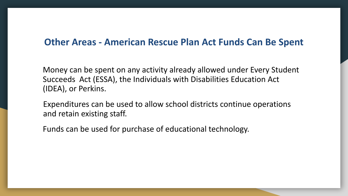# **Other Areas - American Rescue Plan Act Funds Can Be Spent**

Money can be spent on any activity already allowed under Every Student Succeeds Act (ESSA), the Individuals with Disabilities Education Act (IDEA), or Perkins.

Expenditures can be used to allow school districts continue operations and retain existing staff.

Funds can be used for purchase of educational technology.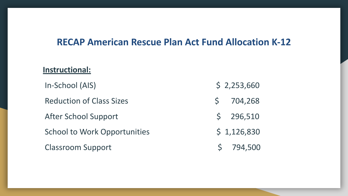# **RECAP American Rescue Plan Act Fund Allocation K-12**

#### **Instructional:**

In-School (AIS) \$ 2,253,660

Reduction of Class Sizes \$ 704,268

After School Support \$ 296,510

School to Work Opportunities  $\frac{1}{2}$  1,126,830

Classroom Support \$ 794,500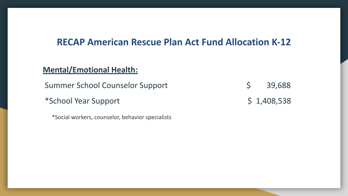# **RECAP American Rescue Plan Act Fund Allocation K-12**

#### **Mental/Emotional Health:**

Summer School Counselor Support  $\sin \theta$  \$ 39,688

\*School Year Support \$ 1,408,538

\*Social workers, counselor, behavior specialists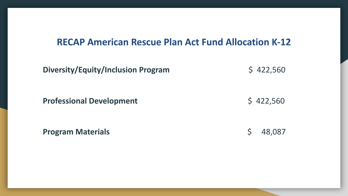# **RECAP American Rescue Plan Act Fund Allocation K-12**

| <b>Diversity/Equity/Inclusion Program</b> | \$422,560              |
|-------------------------------------------|------------------------|
| <b>Professional Development</b>           | \$422,560              |
| <b>Program Materials</b>                  | 48,087<br>$\mathsf{S}$ |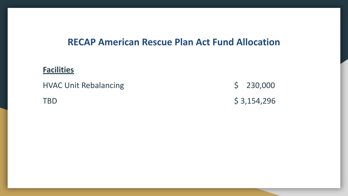# **RECAP American Rescue Plan Act Fund Allocation**

#### **Facilities**

HVAC Unit Rebalancing  $$ 230,000$ 

TBD  $$3,154,296$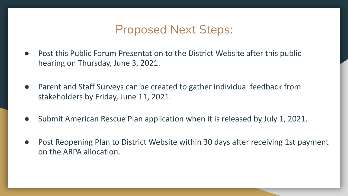# Proposed Next Steps:

- Post this Public Forum Presentation to the District Website after this public hearing on Thursday, June 3, 2021.
- Parent and Staff Surveys can be created to gather individual feedback from stakeholders by Friday, June 11, 2021.
- Submit American Rescue Plan application when it is released by July 1, 2021.
- Post Reopening Plan to District Website within 30 days after receiving 1st payment on the ARPA allocation.